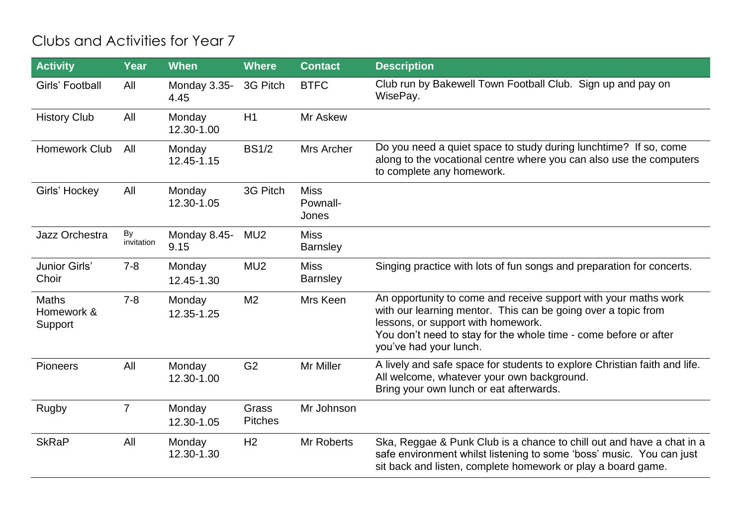## Clubs and Activities for Year 7

| <b>Activity</b>                       | <b>Year</b>      | <b>When</b>          | <b>Where</b>            | <b>Contact</b>                   | <b>Description</b>                                                                                                                                                                                                                                                   |
|---------------------------------------|------------------|----------------------|-------------------------|----------------------------------|----------------------------------------------------------------------------------------------------------------------------------------------------------------------------------------------------------------------------------------------------------------------|
| Girls' Football                       | All              | Monday 3.35-<br>4.45 | 3G Pitch                | <b>BTFC</b>                      | Club run by Bakewell Town Football Club. Sign up and pay on<br>WisePay.                                                                                                                                                                                              |
| <b>History Club</b>                   | All              | Monday<br>12.30-1.00 | H1                      | Mr Askew                         |                                                                                                                                                                                                                                                                      |
| <b>Homework Club</b>                  | All              | Monday<br>12.45-1.15 | <b>BS1/2</b>            | Mrs Archer                       | Do you need a quiet space to study during lunchtime? If so, come<br>along to the vocational centre where you can also use the computers<br>to complete any homework.                                                                                                 |
| Girls' Hockey                         | All              | Monday<br>12.30-1.05 | 3G Pitch                | <b>Miss</b><br>Pownall-<br>Jones |                                                                                                                                                                                                                                                                      |
| Jazz Orchestra                        | By<br>invitation | Monday 8.45-<br>9.15 | MU <sub>2</sub>         | <b>Miss</b><br><b>Barnsley</b>   |                                                                                                                                                                                                                                                                      |
| Junior Girls'<br>Choir                | $7 - 8$          | Monday<br>12.45-1.30 | MU <sub>2</sub>         | <b>Miss</b><br><b>Barnsley</b>   | Singing practice with lots of fun songs and preparation for concerts.                                                                                                                                                                                                |
| <b>Maths</b><br>Homework &<br>Support | $7 - 8$          | Monday<br>12.35-1.25 | M <sub>2</sub>          | Mrs Keen                         | An opportunity to come and receive support with your maths work<br>with our learning mentor. This can be going over a topic from<br>lessons, or support with homework.<br>You don't need to stay for the whole time - come before or after<br>you've had your lunch. |
| <b>Pioneers</b>                       | All              | Monday<br>12.30-1.00 | G <sub>2</sub>          | Mr Miller                        | A lively and safe space for students to explore Christian faith and life.<br>All welcome, whatever your own background.<br>Bring your own lunch or eat afterwards.                                                                                                   |
| Rugby                                 | $\overline{7}$   | Monday<br>12.30-1.05 | Grass<br><b>Pitches</b> | Mr Johnson                       |                                                                                                                                                                                                                                                                      |
| <b>SkRaP</b>                          | All              | Monday<br>12.30-1.30 | H <sub>2</sub>          | <b>Mr Roberts</b>                | Ska, Reggae & Punk Club is a chance to chill out and have a chat in a<br>safe environment whilst listening to some 'boss' music. You can just<br>sit back and listen, complete homework or play a board game.                                                        |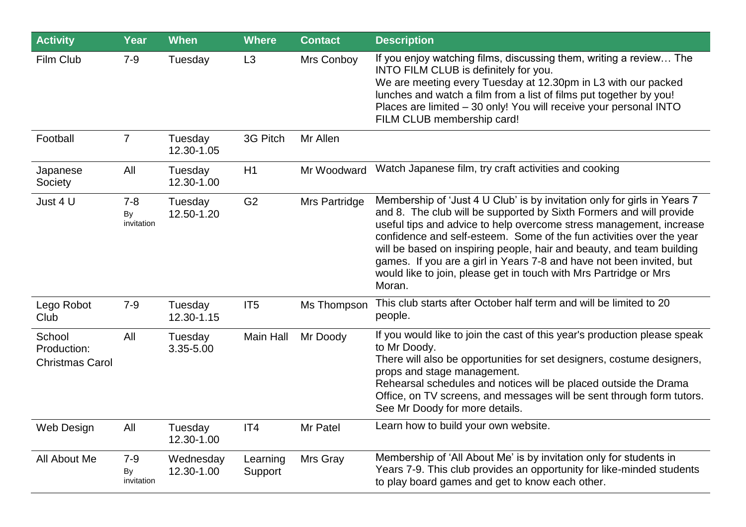| <b>Activity</b>                                 | Year                        | <b>When</b>             | <b>Where</b>        | <b>Contact</b> | <b>Description</b>                                                                                                                                                                                                                                                                                                                                                                                                                                                                                                             |
|-------------------------------------------------|-----------------------------|-------------------------|---------------------|----------------|--------------------------------------------------------------------------------------------------------------------------------------------------------------------------------------------------------------------------------------------------------------------------------------------------------------------------------------------------------------------------------------------------------------------------------------------------------------------------------------------------------------------------------|
| Film Club                                       | $7 - 9$                     | Tuesday                 | L3                  | Mrs Conboy     | If you enjoy watching films, discussing them, writing a review The<br>INTO FILM CLUB is definitely for you.<br>We are meeting every Tuesday at 12.30pm in L3 with our packed<br>lunches and watch a film from a list of films put together by you!<br>Places are limited - 30 only! You will receive your personal INTO<br>FILM CLUB membership card!                                                                                                                                                                          |
| Football                                        | $\overline{7}$              | Tuesday<br>12.30-1.05   | 3G Pitch            | Mr Allen       |                                                                                                                                                                                                                                                                                                                                                                                                                                                                                                                                |
| Japanese<br>Society                             | All                         | Tuesday<br>12.30-1.00   | H1                  | Mr Woodward    | Watch Japanese film, try craft activities and cooking                                                                                                                                                                                                                                                                                                                                                                                                                                                                          |
| Just 4 U                                        | $7 - 8$<br>By<br>invitation | Tuesday<br>12.50-1.20   | G <sub>2</sub>      | Mrs Partridge  | Membership of 'Just 4 U Club' is by invitation only for girls in Years 7<br>and 8. The club will be supported by Sixth Formers and will provide<br>useful tips and advice to help overcome stress management, increase<br>confidence and self-esteem. Some of the fun activities over the year<br>will be based on inspiring people, hair and beauty, and team building<br>games. If you are a girl in Years 7-8 and have not been invited, but<br>would like to join, please get in touch with Mrs Partridge or Mrs<br>Moran. |
| Lego Robot<br>Club                              | $7 - 9$                     | Tuesday<br>12.30-1.15   | IT <sub>5</sub>     | Ms Thompson    | This club starts after October half term and will be limited to 20<br>people.                                                                                                                                                                                                                                                                                                                                                                                                                                                  |
| School<br>Production:<br><b>Christmas Carol</b> | All                         | Tuesday<br>3.35-5.00    | Main Hall           | Mr Doody       | If you would like to join the cast of this year's production please speak<br>to Mr Doody.<br>There will also be opportunities for set designers, costume designers,<br>props and stage management.<br>Rehearsal schedules and notices will be placed outside the Drama<br>Office, on TV screens, and messages will be sent through form tutors.<br>See Mr Doody for more details.                                                                                                                                              |
| Web Design                                      | All                         | Tuesday<br>12.30-1.00   | IT4                 | Mr Patel       | Learn how to build your own website.                                                                                                                                                                                                                                                                                                                                                                                                                                                                                           |
| All About Me                                    | $7 - 9$<br>By<br>invitation | Wednesday<br>12.30-1.00 | Learning<br>Support | Mrs Gray       | Membership of 'All About Me' is by invitation only for students in<br>Years 7-9. This club provides an opportunity for like-minded students<br>to play board games and get to know each other.                                                                                                                                                                                                                                                                                                                                 |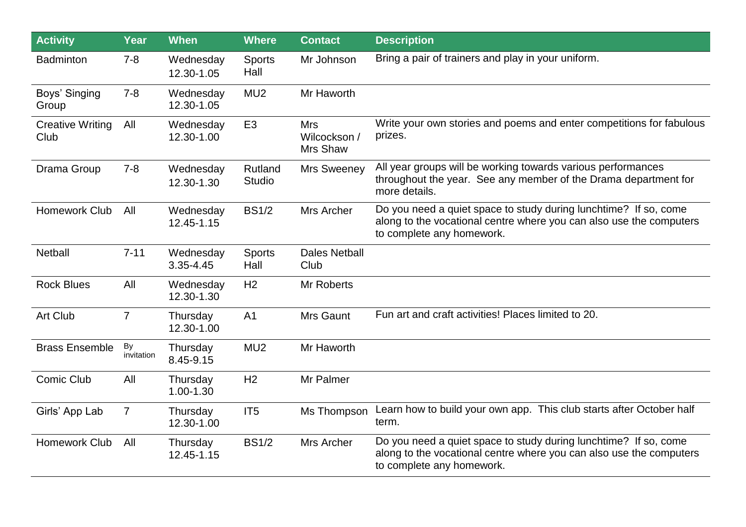| <b>Activity</b>                 | <b>Year</b>      | <b>When</b>             | <b>Where</b>             | <b>Contact</b>                         | <b>Description</b>                                                                                                                                                   |
|---------------------------------|------------------|-------------------------|--------------------------|----------------------------------------|----------------------------------------------------------------------------------------------------------------------------------------------------------------------|
| <b>Badminton</b>                | $7 - 8$          | Wednesday<br>12.30-1.05 | <b>Sports</b><br>Hall    | Mr Johnson                             | Bring a pair of trainers and play in your uniform.                                                                                                                   |
| Boys' Singing<br>Group          | $7 - 8$          | Wednesday<br>12.30-1.05 | MU <sub>2</sub>          | Mr Haworth                             |                                                                                                                                                                      |
| <b>Creative Writing</b><br>Club | All              | Wednesday<br>12.30-1.00 | E <sub>3</sub>           | <b>Mrs</b><br>Wilcockson /<br>Mrs Shaw | Write your own stories and poems and enter competitions for fabulous<br>prizes.                                                                                      |
| Drama Group                     | $7 - 8$          | Wednesday<br>12.30-1.30 | Rutland<br><b>Studio</b> | Mrs Sweeney                            | All year groups will be working towards various performances<br>throughout the year. See any member of the Drama department for<br>more details.                     |
| <b>Homework Club</b>            | All              | Wednesday<br>12.45-1.15 | <b>BS1/2</b>             | Mrs Archer                             | Do you need a quiet space to study during lunchtime? If so, come<br>along to the vocational centre where you can also use the computers<br>to complete any homework. |
| <b>Netball</b>                  | $7 - 11$         | Wednesday<br>3.35-4.45  | <b>Sports</b><br>Hall    | <b>Dales Netball</b><br>Club           |                                                                                                                                                                      |
| <b>Rock Blues</b>               | All              | Wednesday<br>12.30-1.30 | H <sub>2</sub>           | Mr Roberts                             |                                                                                                                                                                      |
| Art Club                        | $\overline{7}$   | Thursday<br>12.30-1.00  | A1                       | Mrs Gaunt                              | Fun art and craft activities! Places limited to 20.                                                                                                                  |
| <b>Brass Ensemble</b>           | By<br>invitation | Thursday<br>8.45-9.15   | MU <sub>2</sub>          | Mr Haworth                             |                                                                                                                                                                      |
| <b>Comic Club</b>               | All              | Thursday<br>1.00-1.30   | H <sub>2</sub>           | Mr Palmer                              |                                                                                                                                                                      |
| Girls' App Lab                  | $\overline{7}$   | Thursday<br>12.30-1.00  | IT <sub>5</sub>          | Ms Thompson                            | Learn how to build your own app. This club starts after October half<br>term.                                                                                        |
| <b>Homework Club</b>            | All              | Thursday<br>12.45-1.15  | <b>BS1/2</b>             | Mrs Archer                             | Do you need a quiet space to study during lunchtime? If so, come<br>along to the vocational centre where you can also use the computers<br>to complete any homework. |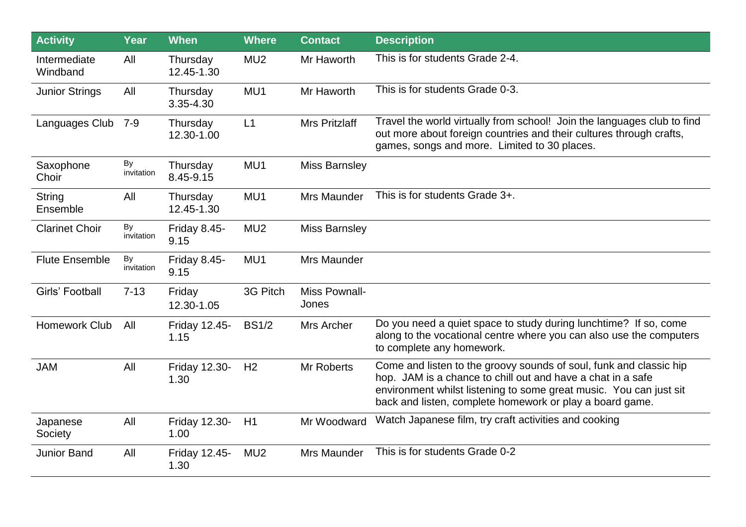| <b>Activity</b>           | Year             | <b>When</b>                  | <b>Where</b>    | <b>Contact</b>                | <b>Description</b>                                                                                                                                                                                                                                                  |
|---------------------------|------------------|------------------------------|-----------------|-------------------------------|---------------------------------------------------------------------------------------------------------------------------------------------------------------------------------------------------------------------------------------------------------------------|
| Intermediate<br>Windband  | All              | Thursday<br>12.45-1.30       | MU <sub>2</sub> | Mr Haworth                    | This is for students Grade 2-4.                                                                                                                                                                                                                                     |
| <b>Junior Strings</b>     | All              | Thursday<br>3.35-4.30        | MU1             | Mr Haworth                    | This is for students Grade 0-3.                                                                                                                                                                                                                                     |
| Languages Club 7-9        |                  | Thursday<br>12.30-1.00       | L1              | Mrs Pritzlaff                 | Travel the world virtually from school! Join the languages club to find<br>out more about foreign countries and their cultures through crafts,<br>games, songs and more. Limited to 30 places.                                                                      |
| Saxophone<br>Choir        | By<br>invitation | Thursday<br>8.45-9.15        | MU1             | <b>Miss Barnsley</b>          |                                                                                                                                                                                                                                                                     |
| <b>String</b><br>Ensemble | All              | Thursday<br>12.45-1.30       | MU1             | Mrs Maunder                   | This is for students Grade 3+.                                                                                                                                                                                                                                      |
| <b>Clarinet Choir</b>     | By<br>invitation | Friday 8.45-<br>9.15         | MU <sub>2</sub> | <b>Miss Barnsley</b>          |                                                                                                                                                                                                                                                                     |
| <b>Flute Ensemble</b>     | By<br>invitation | Friday 8.45-<br>9.15         | MU1             | Mrs Maunder                   |                                                                                                                                                                                                                                                                     |
| <b>Girls' Football</b>    | $7 - 13$         | Friday<br>12.30-1.05         | 3G Pitch        | <b>Miss Pownall-</b><br>Jones |                                                                                                                                                                                                                                                                     |
| <b>Homework Club</b>      | All              | Friday 12.45-<br>1.15        | <b>BS1/2</b>    | Mrs Archer                    | Do you need a quiet space to study during lunchtime? If so, come<br>along to the vocational centre where you can also use the computers<br>to complete any homework.                                                                                                |
| <b>JAM</b>                | All              | <b>Friday 12.30-</b><br>1.30 | H <sub>2</sub>  | Mr Roberts                    | Come and listen to the groovy sounds of soul, funk and classic hip<br>hop. JAM is a chance to chill out and have a chat in a safe<br>environment whilst listening to some great music. You can just sit<br>back and listen, complete homework or play a board game. |
| Japanese<br>Society       | All              | <b>Friday 12.30-</b><br>1.00 | H1              | Mr Woodward                   | Watch Japanese film, try craft activities and cooking                                                                                                                                                                                                               |
| Junior Band               | All              | <b>Friday 12.45-</b><br>1.30 | MU <sub>2</sub> | Mrs Maunder                   | This is for students Grade 0-2                                                                                                                                                                                                                                      |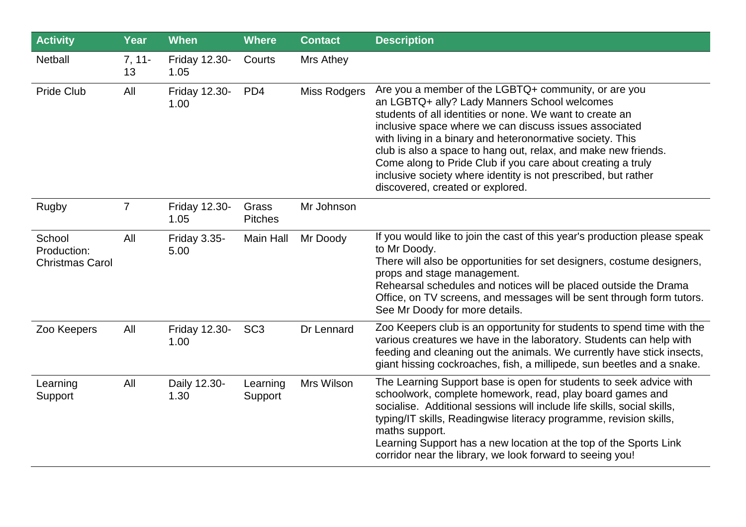| <b>Activity</b>                                 | Year           | <b>When</b>                  | <b>Where</b>            | <b>Contact</b>      | <b>Description</b>                                                                                                                                                                                                                                                                                                                                                                                                                                                                                                             |
|-------------------------------------------------|----------------|------------------------------|-------------------------|---------------------|--------------------------------------------------------------------------------------------------------------------------------------------------------------------------------------------------------------------------------------------------------------------------------------------------------------------------------------------------------------------------------------------------------------------------------------------------------------------------------------------------------------------------------|
| <b>Netball</b>                                  | $7, 11-$<br>13 | <b>Friday 12.30-</b><br>1.05 | Courts                  | Mrs Athey           |                                                                                                                                                                                                                                                                                                                                                                                                                                                                                                                                |
| <b>Pride Club</b>                               | All            | <b>Friday 12.30-</b><br>1.00 | PD <sub>4</sub>         | <b>Miss Rodgers</b> | Are you a member of the LGBTQ+ community, or are you<br>an LGBTQ+ ally? Lady Manners School welcomes<br>students of all identities or none. We want to create an<br>inclusive space where we can discuss issues associated<br>with living in a binary and heteronormative society. This<br>club is also a space to hang out, relax, and make new friends.<br>Come along to Pride Club if you care about creating a truly<br>inclusive society where identity is not prescribed, but rather<br>discovered, created or explored. |
| Rugby                                           | $\overline{7}$ | Friday 12.30-<br>1.05        | Grass<br><b>Pitches</b> | Mr Johnson          |                                                                                                                                                                                                                                                                                                                                                                                                                                                                                                                                |
| School<br>Production:<br><b>Christmas Carol</b> | All            | <b>Friday 3.35-</b><br>5.00  | Main Hall               | Mr Doody            | If you would like to join the cast of this year's production please speak<br>to Mr Doody.<br>There will also be opportunities for set designers, costume designers,<br>props and stage management.<br>Rehearsal schedules and notices will be placed outside the Drama<br>Office, on TV screens, and messages will be sent through form tutors.<br>See Mr Doody for more details.                                                                                                                                              |
| Zoo Keepers                                     | All            | Friday 12.30-<br>1.00        | SC <sub>3</sub>         | Dr Lennard          | Zoo Keepers club is an opportunity for students to spend time with the<br>various creatures we have in the laboratory. Students can help with<br>feeding and cleaning out the animals. We currently have stick insects,<br>giant hissing cockroaches, fish, a millipede, sun beetles and a snake.                                                                                                                                                                                                                              |
| Learning<br>Support                             | All            | Daily 12.30-<br>1.30         | Learning<br>Support     | Mrs Wilson          | The Learning Support base is open for students to seek advice with<br>schoolwork, complete homework, read, play board games and<br>socialise. Additional sessions will include life skills, social skills,<br>typing/IT skills, Readingwise literacy programme, revision skills,<br>maths support.<br>Learning Support has a new location at the top of the Sports Link<br>corridor near the library, we look forward to seeing you!                                                                                           |